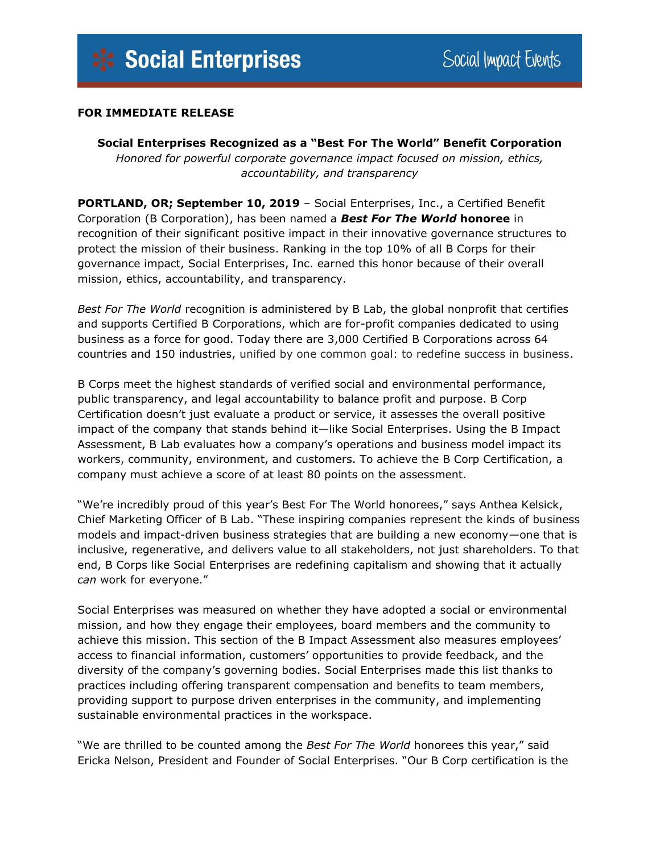## **FOR IMMEDIATE RELEASE**

**Social Enterprises Recognized as a "Best For The World" Benefit Corporation** *Honored for powerful corporate governance impact focused on mission, ethics, accountability, and transparency*

**PORTLAND, OR; September 10, 2019** – Social Enterprises, Inc., a Certified Benefit Corporation (B Corporation), has been named a *Best For The World* **honoree** in recognition of their significant positive impact in their innovative governance structures to protect the mission of their business. Ranking in the top 10% of all B Corps for their governance impact, Social Enterprises, Inc. earned this honor because of their overall mission, ethics, accountability, and transparency.

*Best For The World* recognition is administered by B Lab, the global nonprofit that certifies and supports Certified B Corporations, which are for-profit companies dedicated to using business as a force for good. Today there are 3,000 Certified B Corporations across 64 countries and 150 industries, unified by one common goal: to redefine success in business.

B Corps meet the highest standards of verified social and environmental performance, public transparency, and legal accountability to balance profit and purpose. B Corp Certification doesn't just evaluate a product or service, it assesses the overall positive impact of the company that stands behind it—like Social Enterprises. Using the B Impact Assessment, B Lab evaluates how a company's operations and business model impact its workers, community, environment, and customers. To achieve the B Corp Certification, a company must achieve a score of at least 80 points on the assessment.

"We're incredibly proud of this year's Best For The World honorees," says Anthea Kelsick, Chief Marketing Officer of B Lab. "These inspiring companies represent the kinds of business models and impact-driven business strategies that are building a new economy—one that is inclusive, regenerative, and delivers value to all stakeholders, not just shareholders. To that end, B Corps like Social Enterprises are redefining capitalism and showing that it actually *can* work for everyone."

Social Enterprises was measured on whether they have adopted a social or environmental mission, and how they engage their employees, board members and the community to achieve this mission. This section of the B Impact Assessment also measures employees' access to financial information, customers' opportunities to provide feedback, and the diversity of the company's governing bodies. Social Enterprises made this list thanks to practices including offering transparent compensation and benefits to team members, providing support to purpose driven enterprises in the community, and implementing sustainable environmental practices in the workspace.

"We are thrilled to be counted among the *Best For The World* honorees this year," said Ericka Nelson, President and Founder of Social Enterprises. "Our B Corp certification is the